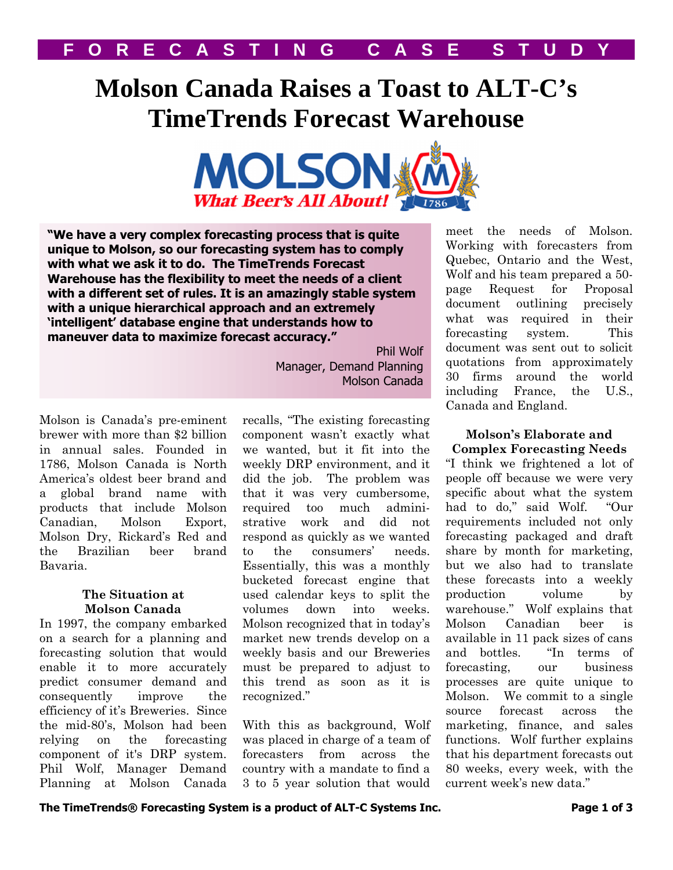# **Molson Canada Raises a Toast to ALT-C's TimeTrends Forecast Warehouse**



**"We have a very complex forecasting process that is quite unique to Molson, so our forecasting system has to comply with what we ask it to do. The TimeTrends Forecast Warehouse has the flexibility to meet the needs of a client with a different set of rules. It is an amazingly stable system with a unique hierarchical approach and an extremely 'intelligent' database engine that understands how to maneuver data to maximize forecast accuracy."**

Molson is Canada's pre-eminent brewer with more than \$2 billion in annual sales. Founded in 1786, Molson Canada is North America's oldest beer brand and a global brand name with products that include Molson Canadian, Molson Export, Molson Dry, Rickard's Red and the Brazilian beer brand Bavaria.

### **The Situation at Molson Canada**

In 1997, the company embarked on a search for a planning and forecasting solution that would enable it to more accurately predict consumer demand and consequently improve the efficiency of it's Breweries. Since the mid-80's, Molson had been relying on the forecasting component of it's DRP system. Phil Wolf, Manager Demand Planning at Molson Canada Manager, Demand Planning Molson Canada

Phil Wolf

recalls, "The existing forecasting component wasn't exactly what we wanted, but it fit into the weekly DRP environment, and it did the job. The problem was that it was very cumbersome, required too much administrative work and did not respond as quickly as we wanted to the consumers' needs. Essentially, this was a monthly bucketed forecast engine that used calendar keys to split the volumes down into weeks. Molson recognized that in today's market new trends develop on a weekly basis and our Breweries must be prepared to adjust to this trend as soon as it is recognized."

With this as background, Wolf was placed in charge of a team of forecasters from across the country with a mandate to find a 3 to 5 year solution that would

meet the needs of Molson. Working with forecasters from Quebec, Ontario and the West, Wolf and his team prepared a 50 page Request for Proposal document outlining precisely what was required in their forecasting system. This document was sent out to solicit quotations from approximately 30 firms around the world including France, the U.S., Canada and England.

### **Molson's Elaborate and Complex Forecasting Needs**

"I think we frightened a lot of people off because we were very specific about what the system had to do," said Wolf. "Our requirements included not only forecasting packaged and draft share by month for marketing, but we also had to translate these forecasts into a weekly production volume by warehouse." Wolf explains that Molson Canadian beer is available in 11 pack sizes of cans and bottles. "In terms of forecasting, our business processes are quite unique to Molson. We commit to a single source forecast across the marketing, finance, and sales functions. Wolf further explains that his department forecasts out 80 weeks, every week, with the current week's new data."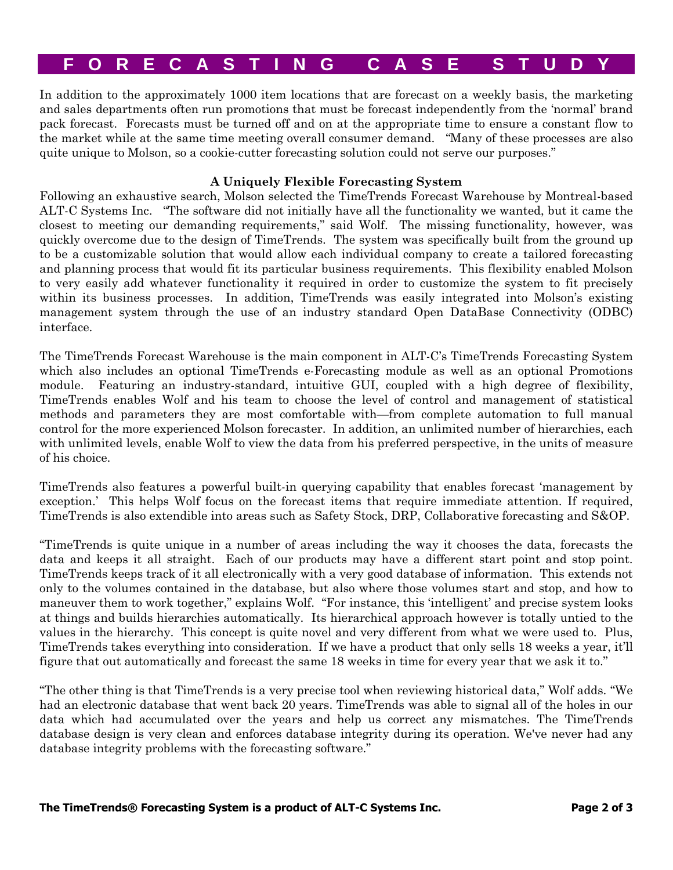## **FORECASTING CASE STUD Y**

In addition to the approximately 1000 item locations that are forecast on a weekly basis, the marketing and sales departments often run promotions that must be forecast independently from the 'normal' brand pack forecast. Forecasts must be turned off and on at the appropriate time to ensure a constant flow to the market while at the same time meeting overall consumer demand. "Many of these processes are also quite unique to Molson, so a cookie-cutter forecasting solution could not serve our purposes."

### **A Uniquely Flexible Forecasting System**

Following an exhaustive search, Molson selected the TimeTrends Forecast Warehouse by Montreal-based ALT-C Systems Inc. "The software did not initially have all the functionality we wanted, but it came the closest to meeting our demanding requirements," said Wolf. The missing functionality, however, was quickly overcome due to the design of TimeTrends. The system was specifically built from the ground up to be a customizable solution that would allow each individual company to create a tailored forecasting and planning process that would fit its particular business requirements. This flexibility enabled Molson to very easily add whatever functionality it required in order to customize the system to fit precisely within its business processes. In addition, TimeTrends was easily integrated into Molson's existing management system through the use of an industry standard Open DataBase Connectivity (ODBC) interface.

The TimeTrends Forecast Warehouse is the main component in ALT-C's TimeTrends Forecasting System which also includes an optional TimeTrends e-Forecasting module as well as an optional Promotions module. Featuring an industry-standard, intuitive GUI, coupled with a high degree of flexibility, TimeTrends enables Wolf and his team to choose the level of control and management of statistical methods and parameters they are most comfortable with—from complete automation to full manual control for the more experienced Molson forecaster. In addition, an unlimited number of hierarchies, each with unlimited levels, enable Wolf to view the data from his preferred perspective, in the units of measure of his choice.

TimeTrends also features a powerful built-in querying capability that enables forecast 'management by exception.' This helps Wolf focus on the forecast items that require immediate attention. If required, TimeTrends is also extendible into areas such as Safety Stock, DRP, Collaborative forecasting and S&OP.

"TimeTrends is quite unique in a number of areas including the way it chooses the data, forecasts the data and keeps it all straight. Each of our products may have a different start point and stop point. TimeTrends keeps track of it all electronically with a very good database of information. This extends not only to the volumes contained in the database, but also where those volumes start and stop, and how to maneuver them to work together," explains Wolf. "For instance, this 'intelligent' and precise system looks at things and builds hierarchies automatically. Its hierarchical approach however is totally untied to the values in the hierarchy. This concept is quite novel and very different from what we were used to. Plus, TimeTrends takes everything into consideration. If we have a product that only sells 18 weeks a year, it'll figure that out automatically and forecast the same 18 weeks in time for every year that we ask it to."

"The other thing is that TimeTrends is a very precise tool when reviewing historical data," Wolf adds. "We had an electronic database that went back 20 years. TimeTrends was able to signal all of the holes in our data which had accumulated over the years and help us correct any mismatches. The TimeTrends database design is very clean and enforces database integrity during its operation. We've never had any database integrity problems with the forecasting software."